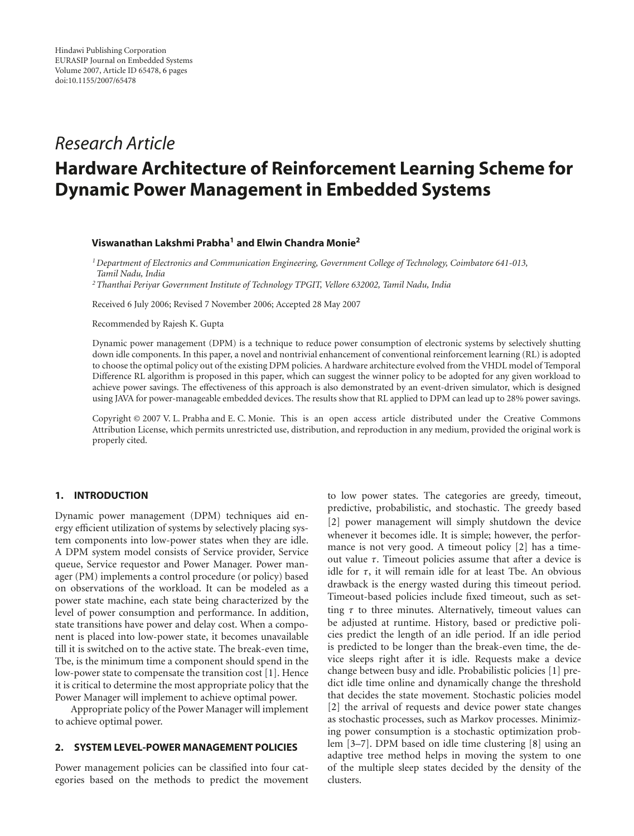# *Research Article*

# **Hardware Architecture of Reinforcement Learning Scheme for Dynamic Power Management in Embedded Systems**

#### **Viswanathan Lakshmi Prabha1 and Elwin Chandra Monie2**

*1Department of Electronics and Communication Engineering, Government College of Technology, Coimbatore 641-013, Tamil Nadu, India*

*2Thanthai Periyar Government Institute of Technology TPGIT, Vellore 632002, Tamil Nadu, India*

Received 6 July 2006; Revised 7 November 2006; Accepted 28 May 2007

Recommended by Rajesh K. Gupta

Dynamic power management (DPM) is a technique to reduce power consumption of electronic systems by selectively shutting down idle components. In this paper, a novel and nontrivial enhancement of conventional reinforcement learning (RL) is adopted to choose the optimal policy out of the existing DPM policies. A hardware architecture evolved from the VHDL model of Temporal Difference RL algorithm is proposed in this paper, which can suggest the winner policy to be adopted for any given workload to achieve power savings. The effectiveness of this approach is also demonstrated by an event-driven simulator, which is designed using JAVA for power-manageable embedded devices. The results show that RL applied to DPM can lead up to 28% power savings.

Copyright © 2007 V. L. Prabha and E. C. Monie. This is an open access article distributed under the Creative Commons Attribution License, which permits unrestricted use, distribution, and reproduction in any medium, provided the original work is properly cited.

#### **1. INTRODUCTION**

Dynamic power management (DPM) techniques aid energy efficient utilization of systems by selectively placing system components into low-power states when they are idle. A DPM system model consists of Service provider, Service queue, Service requestor and Power Manager. Power manager (PM) implements a control procedure (or policy) based on observations of the workload. It can be modeled as a power state machine, each state being characterized by the level of power consumption and performance. In addition, state transitions have power and delay cost. When a component is placed into low-power state, it becomes unavailable till it is switched on to the active state. The break-even time, Tbe, is the minimum time a component should spend in the low-power state to compensate the transition cost [\[1\]](#page-4-1). Hence it is critical to determine the most appropriate policy that the Power Manager will implement to achieve optimal power.

Appropriate policy of the Power Manager will implement to achieve optimal power.

# **2. SYSTEM LEVEL-POWER MANAGEMENT POLICIES**

Power management policies can be classified into four categories based on the methods to predict the movement to low power states. The categories are greedy, timeout, predictive, probabilistic, and stochastic. The greedy based [\[2\]](#page-4-2) power management will simply shutdown the device whenever it becomes idle. It is simple; however, the performance is not very good. A timeout policy [\[2](#page-4-2)] has a timeout value *τ*. Timeout policies assume that after a device is idle for *τ*, it will remain idle for at least Tbe. An obvious drawback is the energy wasted during this timeout period. Timeout-based policies include fixed timeout, such as setting *τ* to three minutes. Alternatively, timeout values can be adjusted at runtime. History, based or predictive policies predict the length of an idle period. If an idle period is predicted to be longer than the break-even time, the device sleeps right after it is idle. Requests make a device change between busy and idle. Probabilistic policies [\[1](#page-4-1)] predict idle time online and dynamically change the threshold that decides the state movement. Stochastic policies model [\[2\]](#page-4-2) the arrival of requests and device power state changes as stochastic processes, such as Markov processes. Minimizing power consumption is a stochastic optimization problem [\[3](#page-4-3)[–7](#page-5-0)]. DPM based on idle time clustering [\[8](#page-5-1)] using an adaptive tree method helps in moving the system to one of the multiple sleep states decided by the density of the clusters.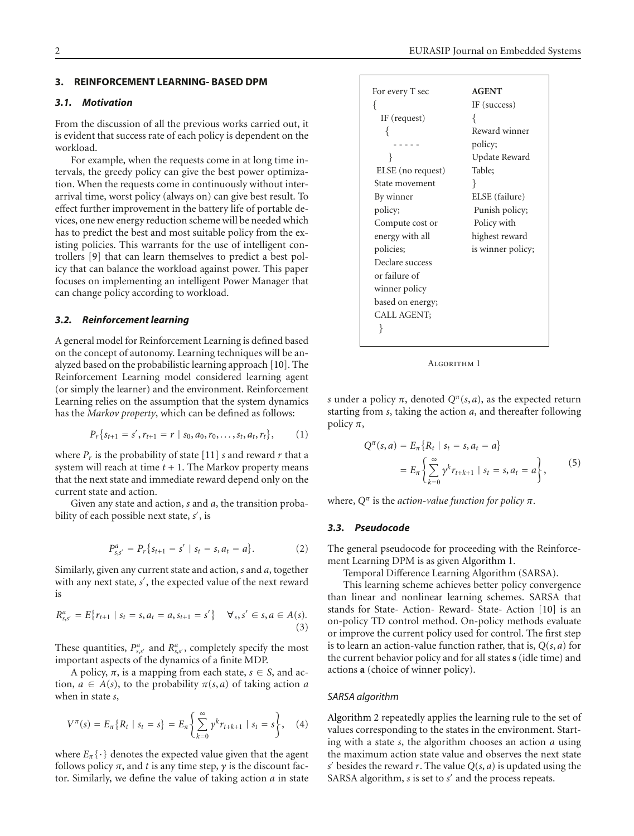#### *3.1. Motivation*

From the discussion of all the previous works carried out, it is evident that success rate of each policy is dependent on the workload.

For example, when the requests come in at long time intervals, the greedy policy can give the best power optimization. When the requests come in continuously without interarrival time, worst policy (always on) can give best result. To effect further improvement in the battery life of portable devices, one new energy reduction scheme will be needed which has to predict the best and most suitable policy from the existing policies. This warrants for the use of intelligent controllers [\[9](#page-5-2)] that can learn themselves to predict a best policy that can balance the workload against power. This paper focuses on implementing an intelligent Power Manager that can change policy according to workload.

#### *3.2. Reinforcement learning*

A general model for Reinforcement Learning is defined based on the concept of autonomy. Learning techniques will be analyzed based on the probabilistic learning approach [\[10\]](#page-5-3). The Reinforcement Learning model considered learning agent (or simply the learner) and the environment. Reinforcement Learning relies on the assumption that the system dynamics has the *Markov property*, which can be defined as follows:

$$
P_r\{s_{t+1}=s', r_{t+1}=r \mid s_0, a_0, r_0, \ldots, s_t, a_t, r_t\},\qquad(1)
$$

where  $P_r$  is the probability of state [\[11\]](#page-5-4) *s* and reward *r* that a system will reach at time  $t + 1$ . The Markov property means that the next state and immediate reward depend only on the current state and action.

Given any state and action, *s* and *a*, the transition probability of each possible next state, *s'*, is

$$
P_{s,s'}^a = P_r \{ s_{t+1} = s' \mid s_t = s, a_t = a \}.
$$
 (2)

Similarly, given any current state and action, *s* and *a*, together with any next state, *s'*, the expected value of the next reward is

$$
R_{s,s'}^a = E\{r_{t+1} \mid s_t = s, a_t = a, s_{t+1} = s'\} \quad \forall_s, s' \in s, a \in A(s).
$$
\n(3)

These quantities,  $P_{s,s'}^a$  and  $R_{s,s'}^a$ , completely specify the most important aspects of the dynamics of a finite MDP.

A policy,  $\pi$ , is a mapping from each state,  $s \in S$ , and action,  $a \in A(s)$ , to the probability  $\pi(s, a)$  of taking action *a* when in state *s*,

$$
V^{\pi}(s) = E_{\pi} \{ R_t \mid s_t = s \} = E_{\pi} \left\{ \sum_{k=0}^{\infty} \gamma^k r_{t+k+1} \mid s_t = s \right\}, \quad (4)
$$

where  $E_{\pi} \{\cdot\}$  denotes the expected value given that the agent follows policy  $\pi$ , and  $t$  is any time step,  $\gamma$  is the discount factor. Similarly, we define the value of taking action *a* in state

| For every T sec    | <b>AGENT</b>      |
|--------------------|-------------------|
|                    |                   |
| ₹                  | IF (success)      |
| IF (request)       |                   |
| ₹                  | Reward winner     |
|                    | policy;           |
| $\left\{ \right\}$ | Update Reward     |
| ELSE (no request)  | Table;            |
| State movement     | ł                 |
| By winner          | ELSE (failure)    |
| policy;            | Punish policy;    |
| Compute cost or    | Policy with       |
| energy with all    | highest reward    |
| policies;          | is winner policy; |
| Declare success    |                   |
| or failure of      |                   |
| winner policy      |                   |
| based on energy;   |                   |
| <b>CALL AGENT;</b> |                   |
|                    |                   |
|                    |                   |

#### ALCORITHM 1

*s* under a policy  $\pi$ , denoted  $Q^{\pi}(s, a)$ , as the expected return starting from *s*, taking the action *a*, and thereafter following policy *π*,

$$
Q^{\pi}(s, a) = E_{\pi} \{ R_t | s_t = s, a_t = a \}
$$
  
= 
$$
E_{\pi} \left\{ \sum_{k=0}^{\infty} \gamma^k r_{t+k+1} | s_t = s, a_t = a \right\},
$$
 (5)

where,  $Q^{\pi}$  is the *action-value function for policy*  $\pi$ .

#### *3.3. Pseudocode*

The general pseudocode for proceeding with the Reinforcement Learning DPM is as given Algorithm 1.

Temporal Difference Learning Algorithm (SARSA).

This learning scheme achieves better policy convergence than linear and nonlinear learning schemes. SARSA that stands for State- Action- Reward- State- Action [\[10](#page-5-3)] is an on-policy TD control method. On-policy methods evaluate or improve the current policy used for control. The first step is to learn an action-value function rather, that is, *Q*(*s*, *a*) for the current behavior policy and for all states **s** (idle time) and actions **a** (choice of winner policy).

#### *SARSA algorithm*

Algorithm 2 repeatedly applies the learning rule to the set of values corresponding to the states in the environment. Starting with a state *s*, the algorithm chooses an action *a* using the maximum action state value and observes the next state  $s'$  besides the reward  $r$ . The value  $Q(s, a)$  is updated using the SARSA algorithm, *s* is set to *s'* and the process repeats.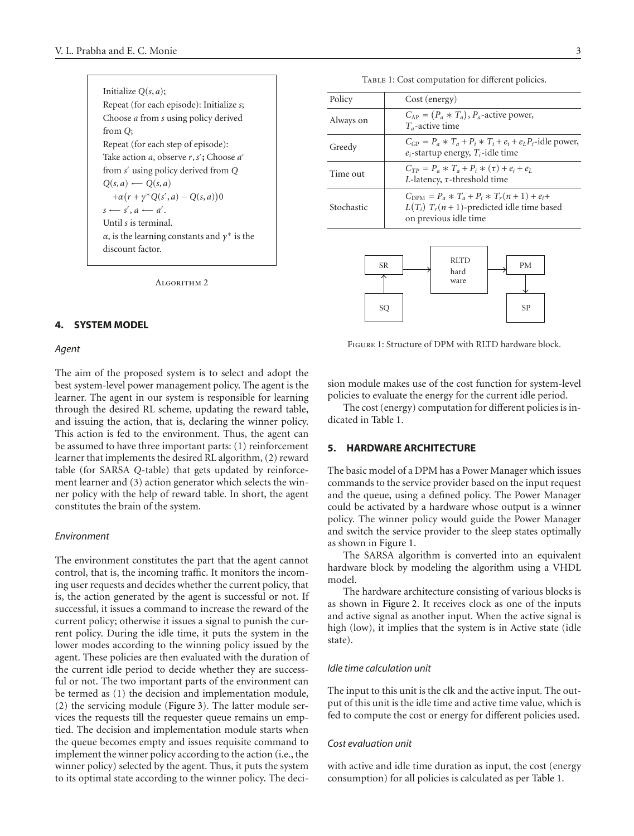Initialize *Q*(*s*, *a*); Repeat (for each episode): Initialize *s*; Choose *a* from *s* using policy derived from *Q*; Repeat (for each step of episode): Take action *a*, observe *r*,*s*- **;** Choose *a* from *s*- using policy derived from *Q*  $Q(s, a) \leftarrow Q(s, a)$  $+\alpha(r + \gamma^* Q(s', a) - Q(s, a))$ *s* ←− *s'*, *a* ←− *a'*. Until *s* is terminal. *α*, is the learning constants and *γ*<sup>∗</sup> is the discount factor.

 $A$ <sub>I</sub> $COP$ <sup>T</sup> $HM$ <sup> $2$ </sup>

# **4. SYSTEM MODEL**

#### *Agent*

The aim of the proposed system is to select and adopt the best system-level power management policy. The agent is the learner. The agent in our system is responsible for learning through the desired RL scheme, updating the reward table, and issuing the action, that is, declaring the winner policy. This action is fed to the environment. Thus, the agent can be assumed to have three important parts: (1) reinforcement learner that implements the desired RL algorithm, (2) reward table (for SARSA *Q*-table) that gets updated by reinforcement learner and (3) action generator which selects the winner policy with the help of reward table. In short, the agent constitutes the brain of the system.

#### *Environment*

The environment constitutes the part that the agent cannot control, that is, the incoming traffic. It monitors the incoming user requests and decides whether the current policy, that is, the action generated by the agent is successful or not. If successful, it issues a command to increase the reward of the current policy; otherwise it issues a signal to punish the current policy. During the idle time, it puts the system in the lower modes according to the winning policy issued by the agent. These policies are then evaluated with the duration of the current idle period to decide whether they are successful or not. The two important parts of the environment can be termed as (1) the decision and implementation module, (2) the servicing module [\(Figure 3\)](#page-3-0). The latter module services the requests till the requester queue remains un emptied. The decision and implementation module starts when the queue becomes empty and issues requisite command to implement the winner policy according to the action (i.e., the winner policy) selected by the agent. Thus, it puts the system to its optimal state according to the winner policy. The deci-

TABLE 1: Cost computation for different policies.

<span id="page-2-0"></span>

| Policy     | Cost (energy)                                                                                                                    |
|------------|----------------------------------------------------------------------------------------------------------------------------------|
| Always on  | $C_{AP} = (P_a * T_a), P_a$ -active power,<br>$T_a$ -active time                                                                 |
| Greedy     | $C_{GP} = P_a * T_a + P_i * T_i + e_i + e_l P_i$ -idle power,<br>$e_i$ -startup energy, $T_i$ -idle time                         |
| Time out   | $C_{TP} = P_a * T_a + P_i * (\tau) + e_i + e_i$<br>L-latency, $\tau$ -threshold time                                             |
| Stochastic | $C_{\text{DPM}} = P_a * T_a + P_i * T_r(n+1) + e_i +$<br>$L(T_i)$ $T_r(n+1)$ -predicted idle time based<br>on previous idle time |



Figure 1: Structure of DPM with RLTD hardware block.

<span id="page-2-1"></span>sion module makes use of the cost function for system-level policies to evaluate the energy for the current idle period.

The cost (energy) computation for different policies is indicated in [Table 1.](#page-2-0)

#### **5. HARDWARE ARCHITECTURE**

The basic model of a DPM has a Power Manager which issues commands to the service provider based on the input request and the queue, using a defined policy. The Power Manager could be activated by a hardware whose output is a winner policy. The winner policy would guide the Power Manager and switch the service provider to the sleep states optimally as shown in [Figure 1.](#page-2-1)

The SARSA algorithm is converted into an equivalent hardware block by modeling the algorithm using a VHDL model.

The hardware architecture consisting of various blocks is as shown in [Figure 2.](#page-3-1) It receives clock as one of the inputs and active signal as another input. When the active signal is high (low), it implies that the system is in Active state (idle state).

#### *Idle time calculation unit*

The input to this unit is the clk and the active input. The output of this unit is the idle time and active time value, which is fed to compute the cost or energy for different policies used.

#### *Cost evaluation unit*

with active and idle time duration as input, the cost (energy consumption) for all policies is calculated as per [Table 1.](#page-2-0)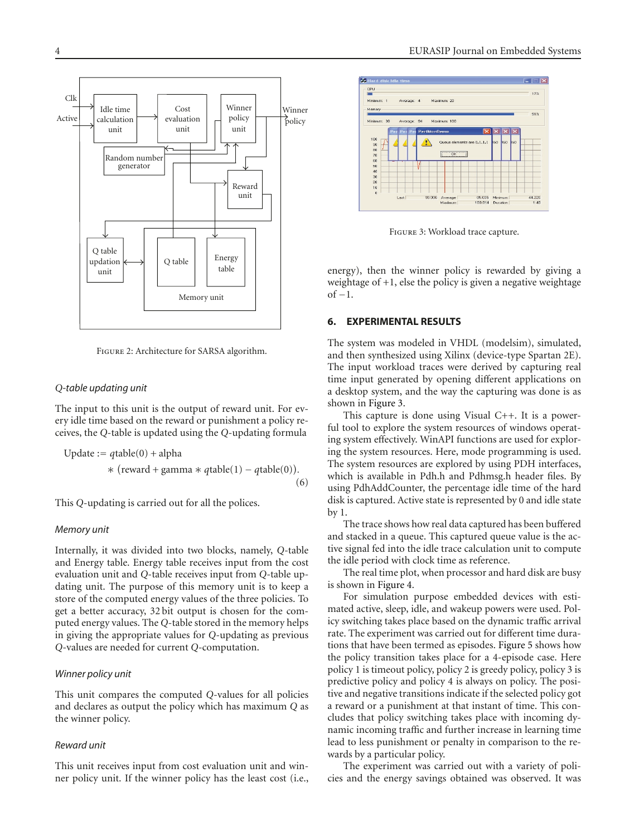

Figure 2: Architecture for SARSA algorithm.

#### <span id="page-3-1"></span>*Q-table updating unit*

The input to this unit is the output of reward unit. For every idle time based on the reward or punishment a policy receives, the *Q*-table is updated using the *Q*-updating formula

Update := 
$$
q
$$
table(0) + alpha  
\n
$$
*(reward + gamma * q
$$
table(1) -  $q$ table(0)). (6)

This *Q*-updating is carried out for all the polices.

#### *Memory unit*

Internally, it was divided into two blocks, namely, *Q*-table and Energy table. Energy table receives input from the cost evaluation unit and *Q*-table receives input from *Q*-table updating unit. The purpose of this memory unit is to keep a store of the computed energy values of the three policies. To get a better accuracy, 32 bit output is chosen for the computed energy values. The *Q*-table stored in the memory helps in giving the appropriate values for *Q*-updating as previous *Q*-values are needed for current *Q*-computation.

#### *Winner policy unit*

This unit compares the computed *Q*-values for all policies and declares as output the policy which has maximum *Q* as the winner policy.

#### *Reward unit*

This unit receives input from cost evaluation unit and winner policy unit. If the winner policy has the least cost (i.e.,



<span id="page-3-0"></span>Figure 3: Workload trace capture.

energy), then the winner policy is rewarded by giving a weightage of  $+1$ , else the policy is given a negative weightage  $of -1$ .

#### **6. EXPERIMENTAL RESULTS**

The system was modeled in VHDL (modelsim), simulated, and then synthesized using Xilinx (device-type Spartan 2E). The input workload traces were derived by capturing real time input generated by opening different applications on a desktop system, and the way the capturing was done is as shown in [Figure 3.](#page-3-0)

This capture is done using Visual C++. It is a powerful tool to explore the system resources of windows operating system effectively. WinAPI functions are used for exploring the system resources. Here, mode programming is used. The system resources are explored by using PDH interfaces, which is available in Pdh.h and Pdhmsg.h header files. By using PdhAddCounter, the percentage idle time of the hard disk is captured. Active state is represented by 0 and idle state by 1.

The trace shows how real data captured has been buffered and stacked in a queue. This captured queue value is the active signal fed into the idle trace calculation unit to compute the idle period with clock time as reference.

The real time plot, when processor and hard disk are busy is shown in [Figure 4.](#page-4-4)

For simulation purpose embedded devices with estimated active, sleep, idle, and wakeup powers were used. Policy switching takes place based on the dynamic traffic arrival rate. The experiment was carried out for different time durations that have been termed as episodes. [Figure 5](#page-4-5) shows how the policy transition takes place for a 4-episode case. Here policy 1 is timeout policy, policy 2 is greedy policy, policy 3 is predictive policy and policy 4 is always on policy. The positive and negative transitions indicate if the selected policy got a reward or a punishment at that instant of time. This concludes that policy switching takes place with incoming dynamic incoming traffic and further increase in learning time lead to less punishment or penalty in comparison to the rewards by a particular policy.

The experiment was carried out with a variety of policies and the energy savings obtained was observed. It was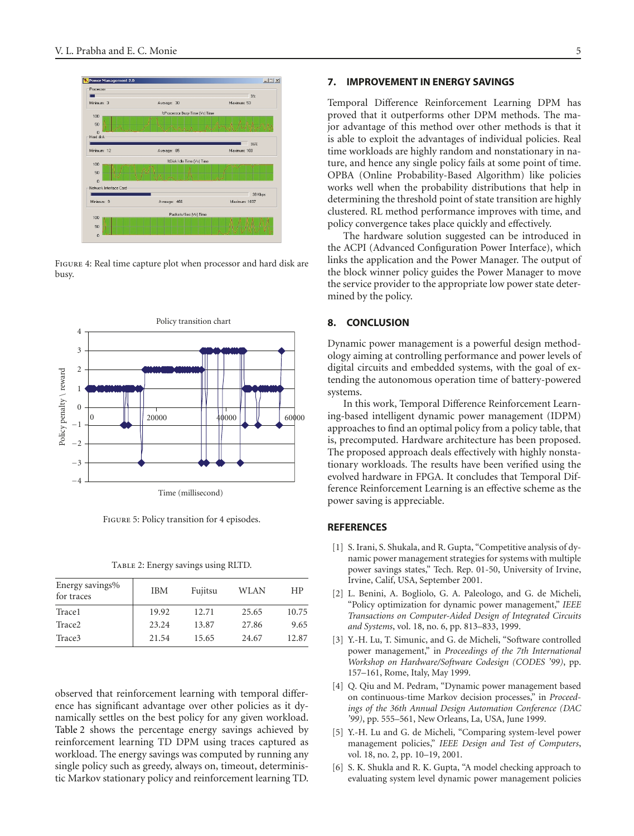

<span id="page-4-4"></span>Figure 4: Real time capture plot when processor and hard disk are busy.



<span id="page-4-5"></span>FIGURE 5: Policy transition for 4 episodes.

|  | TABLE 2: Energy savings using RLTD. |  |
|--|-------------------------------------|--|
|  |                                     |  |

<span id="page-4-6"></span>

| Energy savings%<br>for traces | <b>IBM</b> | Fujitsu | WLAN  | HP    |
|-------------------------------|------------|---------|-------|-------|
| Trace1                        | 19.92      | 12.71   | 25.65 | 10.75 |
| Trace <sub>2</sub>            | 23.24      | 13.87   | 27.86 | 9.65  |
| Trace3                        | 21.54      | 15.65   | 24.67 | 12.87 |

observed that reinforcement learning with temporal difference has significant advantage over other policies as it dynamically settles on the best policy for any given workload. [Table 2](#page-4-6) shows the percentage energy savings achieved by reinforcement learning TD DPM using traces captured as workload. The energy savings was computed by running any single policy such as greedy, always on, timeout, deterministic Markov stationary policy and reinforcement learning TD.

### **7. IMPROVEMENT IN ENERGY SAVINGS**

Temporal Difference Reinforcement Learning DPM has proved that it outperforms other DPM methods. The major advantage of this method over other methods is that it is able to exploit the advantages of individual policies. Real time workloads are highly random and nonstationary in nature, and hence any single policy fails at some point of time. OPBA (Online Probability-Based Algorithm) like policies works well when the probability distributions that help in determining the threshold point of state transition are highly clustered. RL method performance improves with time, and policy convergence takes place quickly and effectively.

The hardware solution suggested can be introduced in the ACPI (Advanced Configuration Power Interface), which links the application and the Power Manager. The output of the block winner policy guides the Power Manager to move the service provider to the appropriate low power state determined by the policy.

#### **8. CONCLUSION**

Dynamic power management is a powerful design methodology aiming at controlling performance and power levels of digital circuits and embedded systems, with the goal of extending the autonomous operation time of battery-powered systems.

In this work, Temporal Difference Reinforcement Learning-based intelligent dynamic power management (IDPM) approaches to find an optimal policy from a policy table, that is, precomputed. Hardware architecture has been proposed. The proposed approach deals effectively with highly nonstationary workloads. The results have been verified using the evolved hardware in FPGA. It concludes that Temporal Difference Reinforcement Learning is an effective scheme as the power saving is appreciable.

#### <span id="page-4-1"></span><span id="page-4-0"></span>**REFERENCES**

- [1] S. Irani, S. Shukala, and R. Gupta, "Competitive analysis of dynamic power management strategies for systems with multiple power savings states," Tech. Rep. 01-50, University of Irvine, Irvine, Calif, USA, September 2001.
- <span id="page-4-2"></span>[2] L. Benini, A. Bogliolo, G. A. Paleologo, and G. de Micheli, "Policy optimization for dynamic power management," *IEEE Transactions on Computer-Aided Design of Integrated Circuits and Systems*, vol. 18, no. 6, pp. 813–833, 1999.
- <span id="page-4-3"></span>[3] Y.-H. Lu, T. Simunic, and G. de Micheli, "Software controlled power management," in *Proceedings of the 7th International Workshop on Hardware/Software Codesign (CODES '99)*, pp. 157–161, Rome, Italy, May 1999.
- [4] Q. Qiu and M. Pedram, "Dynamic power management based on continuous-time Markov decision processes," in *Proceedings of the 36th Annual Design Automation Conference (DAC '99)*, pp. 555–561, New Orleans, La, USA, June 1999.
- [5] Y.-H. Lu and G. de Micheli, "Comparing system-level power management policies," *IEEE Design and Test of Computers*, vol. 18, no. 2, pp. 10–19, 2001.
- [6] S. K. Shukla and R. K. Gupta, "A model checking approach to evaluating system level dynamic power management policies